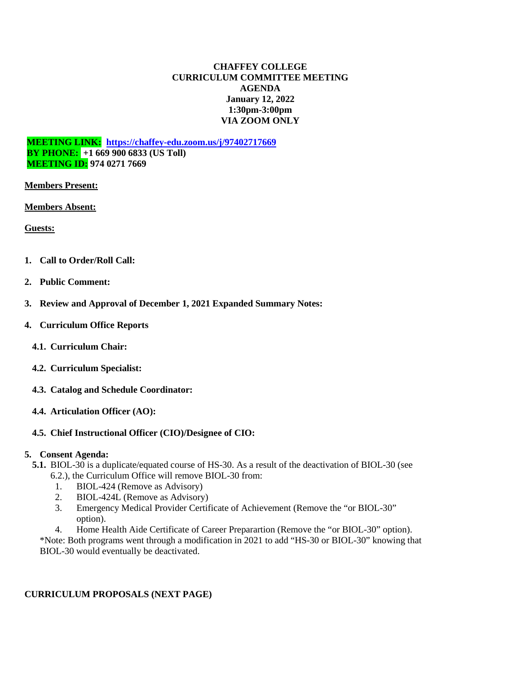### **CHAFFEY COLLEGE CURRICULUM COMMITTEE MEETING AGENDA January 12, 2022 1:30pm-3:00pm VIA ZOOM ONLY**

**MEETING LINK: <https://chaffey-edu.zoom.us/j/97402717669> BY PHONE: +1 669 900 6833 (US Toll) MEETING ID: 974 0271 7669**

**Members Present:**

**Members Absent:**

**Guests:** 

- **1. Call to Order/Roll Call:**
- **2. Public Comment:**
- **3. Review and Approval of December 1, 2021 Expanded Summary Notes:**
- **4. Curriculum Office Reports**
	- **4.1. Curriculum Chair:**
	- **4.2. Curriculum Specialist:**
	- **4.3. Catalog and Schedule Coordinator:**
	- **4.4. Articulation Officer (AO):**

## **4.5. Chief Instructional Officer (CIO)/Designee of CIO:**

#### **5. Consent Agenda:**

- **5.1.** BIOL-30 is a duplicate/equated course of HS-30. As a result of the deactivation of BIOL-30 (see 6.2.), the Curriculum Office will remove BIOL-30 from:
	- 1. BIOL-424 (Remove as Advisory)
	- 2. BIOL-424L (Remove as Advisory)
	- 3. Emergency Medical Provider Certificate of Achievement (Remove the "or BIOL-30" option).
	- 4. Home Health Aide Certificate of Career Preparartion (Remove the "or BIOL-30" option).

\*Note: Both programs went through a modification in 2021 to add "HS-30 or BIOL-30" knowing that BIOL-30 would eventually be deactivated.

## **CURRICULUM PROPOSALS (NEXT PAGE)**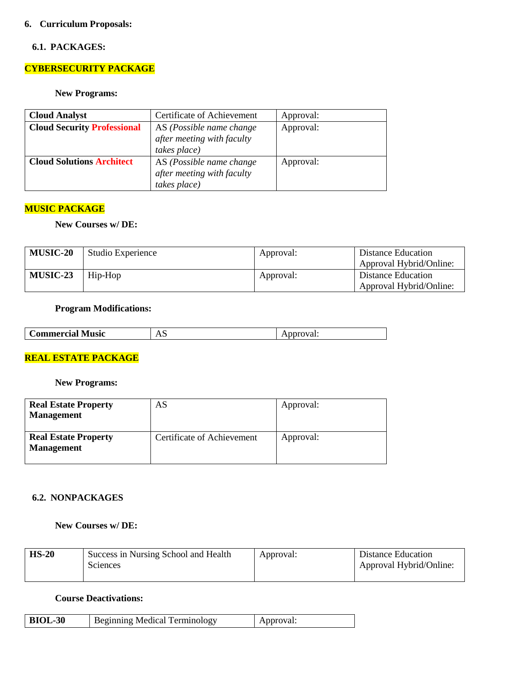### **6. Curriculum Proposals:**

#### **6.1. PACKAGES:**

## **CYBERSECURITY PACKAGE**

#### **New Programs:**

| <b>Cloud Analyst</b>               | Certificate of Achievement | Approval: |
|------------------------------------|----------------------------|-----------|
| <b>Cloud Security Professional</b> | AS (Possible name change   | Approval: |
|                                    | after meeting with faculty |           |
|                                    | takes place)               |           |
| <b>Cloud Solutions Architect</b>   | AS (Possible name change   | Approval: |
|                                    | after meeting with faculty |           |
|                                    | takes place)               |           |

### **MUSIC PACKAGE**

#### **New Courses w/ DE:**

| <b>MUSIC-20</b> | Studio Experience | Approval: | Distance Education      |
|-----------------|-------------------|-----------|-------------------------|
|                 |                   |           | Approval Hybrid/Online: |
| <b>MUSIC-23</b> | Hip-Hop           | Approval: | Distance Education      |
|                 |                   |           | Approval Hybrid/Online: |

#### **Program Modifications:**

| <b>Music</b><br>$\mathcal{L}$ ommercia $'$ | $\overline{1}$ | ″ai.<br>$\sim$ |
|--------------------------------------------|----------------|----------------|
|                                            |                |                |

## **REAL ESTATE PACKAGE**

#### **New Programs:**

| <b>Real Estate Property</b><br><b>Management</b> | AS                         | Approval: |
|--------------------------------------------------|----------------------------|-----------|
| <b>Real Estate Property</b><br><b>Management</b> | Certificate of Achievement | Approval: |

### **6.2. NONPACKAGES**

## **New Courses w/ DE:**

| $HS-20$ | Success in Nursing School and Health | Approval: | Distance Education      |
|---------|--------------------------------------|-----------|-------------------------|
|         | <b>Sciences</b>                      |           | Approval Hybrid/Online: |
|         |                                      |           |                         |

#### **Course Deactivations:**

| <b>BIOL-30</b><br><b>Beginning Medical Terminology</b> | Approval: |
|--------------------------------------------------------|-----------|
|--------------------------------------------------------|-----------|